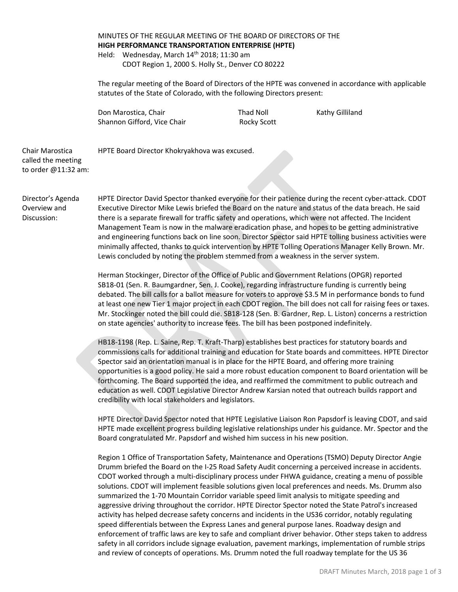|  | MINUTES OF THE REGULAR MEETING OF THE BOARD OF DIRECTORS OF THE<br>HIGH PERFORMANCE TRANSPORTATION ENTERPRISE (HPTE) |  |
|--|----------------------------------------------------------------------------------------------------------------------|--|
|  |                                                                                                                      |  |
|  | Held: Wednesday, March 14 <sup>th</sup> 2018; 11:30 am                                                               |  |
|  | CDOT Region 1, 2000 S. Holly St., Denver CO 80222                                                                    |  |

The regular meeting of the Board of Directors of the HPTE was convened in accordance with applicable statutes of the State of Colorado, with the following Directors present:

Don Marostica, Chair **National Communist Chair** Thad Noll **Kathy Gilliland** Shannon Gifford, Vice Chair Rocky Scott

Chair Marostica called the meeting to order @11:32 am: HPTE Board Director Khokryakhova was excused.

Director's Agenda Overview and Discussion:

HPTE Director David Spector thanked everyone for their patience during the recent cyber-attack. CDOT Executive Director Mike Lewis briefed the Board on the nature and status of the data breach. He said there is a separate firewall for traffic safety and operations, which were not affected. The Incident Management Team is now in the malware eradication phase, and hopes to be getting administrative and engineering functions back on line soon. Director Spector said HPTE tolling business activities were minimally affected, thanks to quick intervention by HPTE Tolling Operations Manager Kelly Brown. Mr. Lewis concluded by noting the problem stemmed from a weakness in the server system.

Herman Stockinger, Director of the Office of Public and Government Relations (OPGR) reported SB18-01 (Sen. R. Baumgardner, Sen. J. Cooke), regarding infrastructure funding is currently being debated. The bill calls for a ballot measure for voters to approve \$3.5 M in performance bonds to fund at least one new Tier 1 major project in each CDOT region. The bill does not call for raising fees or taxes. Mr. Stockinger noted the bill could die. SB18-128 (Sen. B. Gardner, Rep. L. Liston) concerns a restriction on state agencies' authority to increase fees. The bill has been postponed indefinitely.

HB18-1198 (Rep. L. Saine, Rep. T. Kraft-Tharp) establishes best practices for statutory boards and commissions calls for additional training and education for State boards and committees. HPTE Director Spector said an orientation manual is in place for the HPTE Board, and offering more training opportunities is a good policy. He said a more robust education component to Board orientation will be forthcoming. The Board supported the idea, and reaffirmed the commitment to public outreach and education as well. CDOT Legislative Director Andrew Karsian noted that outreach builds rapport and credibility with local stakeholders and legislators.

HPTE Director David Spector noted that HPTE Legislative Liaison Ron Papsdorf is leaving CDOT, and said HPTE made excellent progress building legislative relationships under his guidance. Mr. Spector and the Board congratulated Mr. Papsdorf and wished him success in his new position.

Region 1 Office of Transportation Safety, Maintenance and Operations (TSMO) Deputy Director Angie Drumm briefed the Board on the I-25 Road Safety Audit concerning a perceived increase in accidents. CDOT worked through a multi-disciplinary process under FHWA guidance, creating a menu of possible solutions. CDOT will implement feasible solutions given local preferences and needs. Ms. Drumm also summarized the 1-70 Mountain Corridor variable speed limit analysis to mitigate speeding and aggressive driving throughout the corridor. HPTE Director Spector noted the State Patrol's increased activity has helped decrease safety concerns and incidents in the US36 corridor, notably regulating speed differentials between the Express Lanes and general purpose lanes. Roadway design and enforcement of traffic laws are key to safe and compliant driver behavior. Other steps taken to address safety in all corridors include signage evaluation, pavement markings, implementation of rumble strips and review of concepts of operations. Ms. Drumm noted the full roadway template for the US 36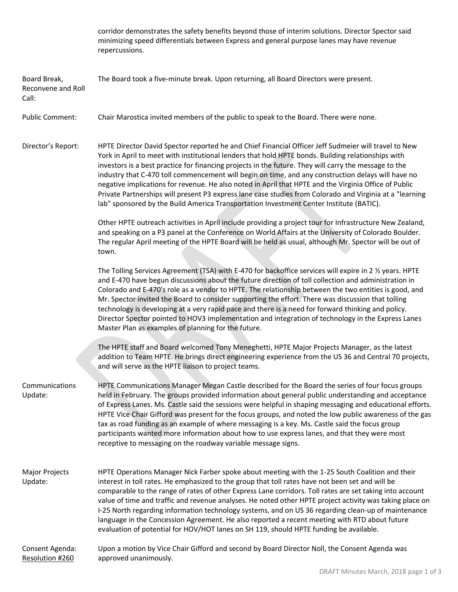|                                             | corridor demonstrates the safety benefits beyond those of interim solutions. Director Spector said<br>minimizing speed differentials between Express and general purpose lanes may have revenue<br>repercussions.                                                                                                                                                                                                                                                                                                                                                                                                                                                                                                                         |  |
|---------------------------------------------|-------------------------------------------------------------------------------------------------------------------------------------------------------------------------------------------------------------------------------------------------------------------------------------------------------------------------------------------------------------------------------------------------------------------------------------------------------------------------------------------------------------------------------------------------------------------------------------------------------------------------------------------------------------------------------------------------------------------------------------------|--|
| Board Break,<br>Reconvene and Roll<br>Call: | The Board took a five-minute break. Upon returning, all Board Directors were present.                                                                                                                                                                                                                                                                                                                                                                                                                                                                                                                                                                                                                                                     |  |
| <b>Public Comment:</b>                      | Chair Marostica invited members of the public to speak to the Board. There were none.                                                                                                                                                                                                                                                                                                                                                                                                                                                                                                                                                                                                                                                     |  |
| Director's Report:                          | HPTE Director David Spector reported he and Chief Financial Officer Jeff Sudmeier will travel to New<br>York in April to meet with institutional lenders that hold HPTE bonds. Building relationships with<br>investors is a best practice for financing projects in the future. They will carry the message to the<br>industry that C-470 toll commencement will begin on time, and any construction delays will have no<br>negative implications for revenue. He also noted in April that HPTE and the Virginia Office of Public<br>Private Partnerships will present P3 express lane case studies from Colorado and Virginia at a "learning<br>lab" sponsored by the Build America Transportation Investment Center Institute (BATIC). |  |
|                                             | Other HPTE outreach activities in April include providing a project tour for Infrastructure New Zealand,<br>and speaking on a P3 panel at the Conference on World Affairs at the University of Colorado Boulder.<br>The regular April meeting of the HPTE Board will be held as usual, although Mr. Spector will be out of<br>town.                                                                                                                                                                                                                                                                                                                                                                                                       |  |
|                                             | The Tolling Services Agreement (TSA) with E-470 for backoffice services will expire in 2 1/2 years. HPTE<br>and E-470 have begun discussions about the future direction of toll collection and administration in<br>Colorado and E-470's role as a vendor to HPTE. The relationship between the two entities is good, and<br>Mr. Spector invited the Board to consider supporting the effort. There was discussion that tolling<br>technology is developing at a very rapid pace and there is a need for forward thinking and policy.<br>Director Spector pointed to HOV3 implementation and integration of technology in the Express Lanes<br>Master Plan as examples of planning for the future.                                        |  |
|                                             | The HPTE staff and Board welcomed Tony Meneghetti, HPTE Major Projects Manager, as the latest<br>addition to Team HPTE. He brings direct engineering experience from the US 36 and Central 70 projects,<br>and will serve as the HPTE liaison to project teams.                                                                                                                                                                                                                                                                                                                                                                                                                                                                           |  |
| Communications<br>Update:                   | HPTE Communications Manager Megan Castle described for the Board the series of four focus groups<br>held in February. The groups provided information about general public understanding and acceptance<br>of Express Lanes. Ms. Castle said the sessions were helpful in shaping messaging and educational efforts.<br>HPTE Vice Chair Gifford was present for the focus groups, and noted the low public awareness of the gas<br>tax as road funding as an example of where messaging is a key. Ms. Castle said the focus group<br>participants wanted more information about how to use express lanes, and that they were most<br>receptive to messaging on the roadway variable message signs.                                        |  |
| Major Projects<br>Update:                   | HPTE Operations Manager Nick Farber spoke about meeting with the 1-25 South Coalition and their<br>interest in toll rates. He emphasized to the group that toll rates have not been set and will be<br>comparable to the range of rates of other Express Lane corridors. Toll rates are set taking into account<br>value of time and traffic and revenue analyses. He noted other HPTE project activity was taking place on<br>I-25 North regarding information technology systems, and on US 36 regarding clean-up of maintenance<br>language in the Concession Agreement. He also reported a recent meeting with RTD about future<br>evaluation of potential for HOV/HOT lanes on SH 119, should HPTE funding be available.             |  |
| Consent Agenda:<br>Resolution #260          | Upon a motion by Vice Chair Gifford and second by Board Director Noll, the Consent Agenda was<br>approved unanimously.                                                                                                                                                                                                                                                                                                                                                                                                                                                                                                                                                                                                                    |  |